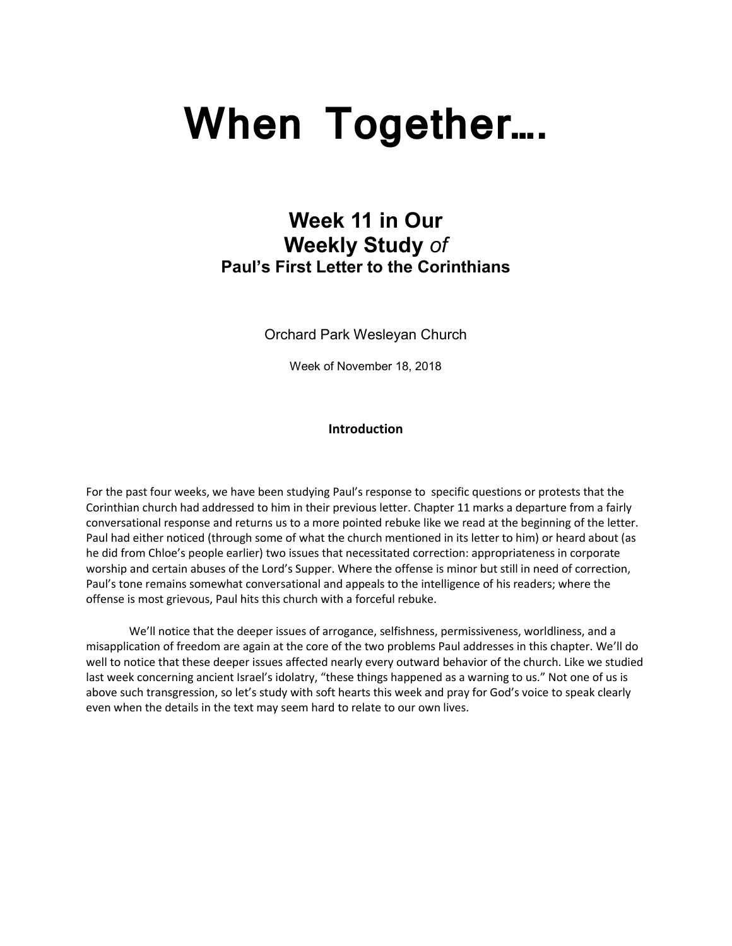# **When Together….**

# **Week 11 in Our Weekly Study** *of* **Paul's First Letter to the Corinthians**

Orchard Park Wesleyan Church

Week of November 18, 2018

# **Introduction**

For the past four weeks, we have been studying Paul's response to specific questions or protests that the Corinthian church had addressed to him in their previous letter. Chapter 11 marks a departure from a fairly conversational response and returns us to a more pointed rebuke like we read at the beginning of the letter. Paul had either noticed (through some of what the church mentioned in its letter to him) or heard about (as he did from Chloe's people earlier) two issues that necessitated correction: appropriateness in corporate worship and certain abuses of the Lord's Supper. Where the offense is minor but still in need of correction, Paul's tone remains somewhat conversational and appeals to the intelligence of his readers; where the offense is most grievous, Paul hits this church with a forceful rebuke.

We'll notice that the deeper issues of arrogance, selfishness, permissiveness, worldliness, and a misapplication of freedom are again at the core of the two problems Paul addresses in this chapter. We'll do well to notice that these deeper issues affected nearly every outward behavior of the church. Like we studied last week concerning ancient Israel's idolatry, "these things happened as a warning to us." Not one of us is above such transgression, so let's study with soft hearts this week and pray for God's voice to speak clearly even when the details in the text may seem hard to relate to our own lives.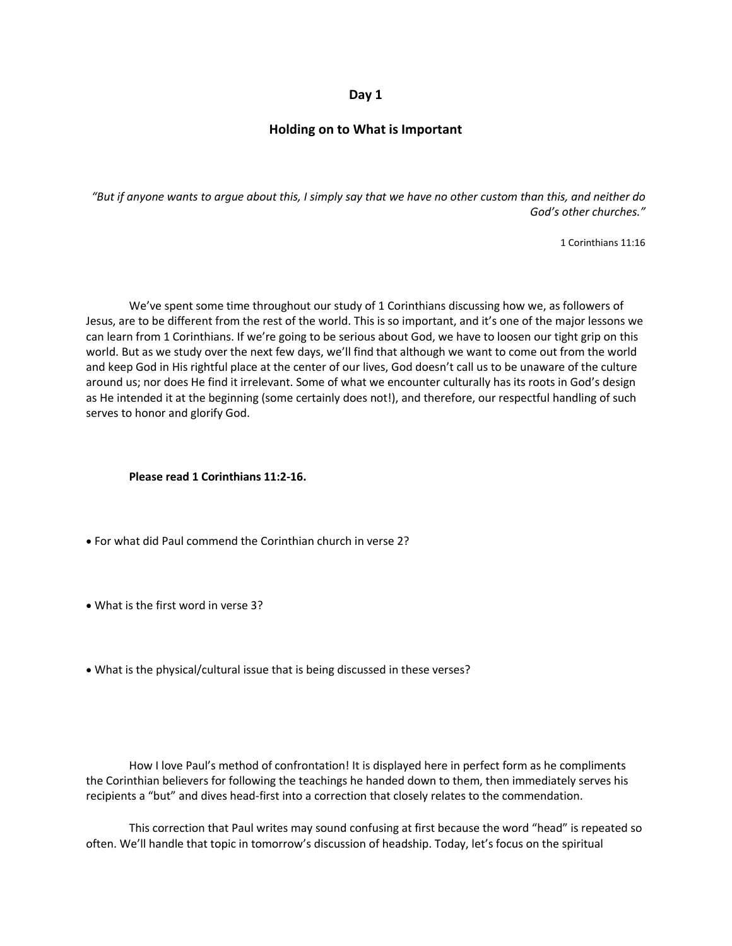#### **Day 1**

# **Holding on to What is Important**

*"But if anyone wants to argue about this, I simply say that we have no other custom than this, and neither do God's other churches."*

1 Corinthians 11:16

We've spent some time throughout our study of 1 Corinthians discussing how we, as followers of Jesus, are to be different from the rest of the world. This is so important, and it's one of the major lessons we can learn from 1 Corinthians. If we're going to be serious about God, we have to loosen our tight grip on this world. But as we study over the next few days, we'll find that although we want to come out from the world and keep God in His rightful place at the center of our lives, God doesn't call us to be unaware of the culture around us; nor does He find it irrelevant. Some of what we encounter culturally has its roots in God's design as He intended it at the beginning (some certainly does not!), and therefore, our respectful handling of such serves to honor and glorify God.

#### **Please read 1 Corinthians 11:2-16.**

- For what did Paul commend the Corinthian church in verse 2?
- What is the first word in verse 3?
- What is the physical/cultural issue that is being discussed in these verses?

How I love Paul's method of confrontation! It is displayed here in perfect form as he compliments the Corinthian believers for following the teachings he handed down to them, then immediately serves his recipients a "but" and dives head-first into a correction that closely relates to the commendation.

This correction that Paul writes may sound confusing at first because the word "head" is repeated so often. We'll handle that topic in tomorrow's discussion of headship. Today, let's focus on the spiritual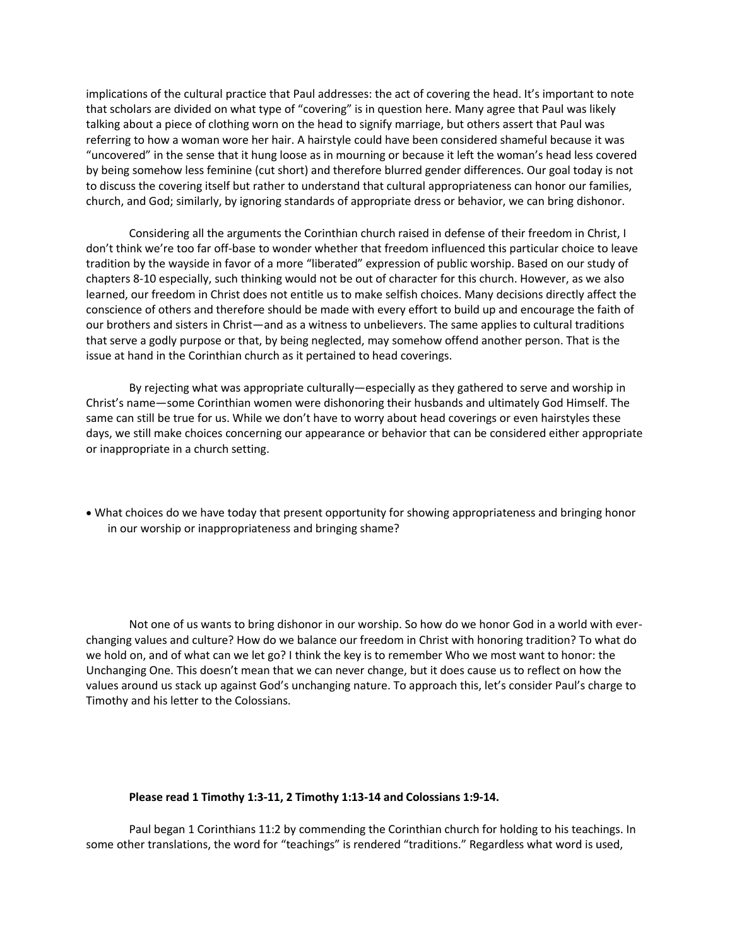implications of the cultural practice that Paul addresses: the act of covering the head. It's important to note that scholars are divided on what type of "covering" is in question here. Many agree that Paul was likely talking about a piece of clothing worn on the head to signify marriage, but others assert that Paul was referring to how a woman wore her hair. A hairstyle could have been considered shameful because it was "uncovered" in the sense that it hung loose as in mourning or because it left the woman's head less covered by being somehow less feminine (cut short) and therefore blurred gender differences. Our goal today is not to discuss the covering itself but rather to understand that cultural appropriateness can honor our families, church, and God; similarly, by ignoring standards of appropriate dress or behavior, we can bring dishonor.

Considering all the arguments the Corinthian church raised in defense of their freedom in Christ, I don't think we're too far off-base to wonder whether that freedom influenced this particular choice to leave tradition by the wayside in favor of a more "liberated" expression of public worship. Based on our study of chapters 8-10 especially, such thinking would not be out of character for this church. However, as we also learned, our freedom in Christ does not entitle us to make selfish choices. Many decisions directly affect the conscience of others and therefore should be made with every effort to build up and encourage the faith of our brothers and sisters in Christ—and as a witness to unbelievers. The same applies to cultural traditions that serve a godly purpose or that, by being neglected, may somehow offend another person. That is the issue at hand in the Corinthian church as it pertained to head coverings.

By rejecting what was appropriate culturally—especially as they gathered to serve and worship in Christ's name—some Corinthian women were dishonoring their husbands and ultimately God Himself. The same can still be true for us. While we don't have to worry about head coverings or even hairstyles these days, we still make choices concerning our appearance or behavior that can be considered either appropriate or inappropriate in a church setting.

• What choices do we have today that present opportunity for showing appropriateness and bringing honor in our worship or inappropriateness and bringing shame?

Not one of us wants to bring dishonor in our worship. So how do we honor God in a world with everchanging values and culture? How do we balance our freedom in Christ with honoring tradition? To what do we hold on, and of what can we let go? I think the key is to remember Who we most want to honor: the Unchanging One. This doesn't mean that we can never change, but it does cause us to reflect on how the values around us stack up against God's unchanging nature. To approach this, let's consider Paul's charge to Timothy and his letter to the Colossians.

#### **Please read 1 Timothy 1:3-11, 2 Timothy 1:13-14 and Colossians 1:9-14.**

Paul began 1 Corinthians 11:2 by commending the Corinthian church for holding to his teachings. In some other translations, the word for "teachings" is rendered "traditions." Regardless what word is used,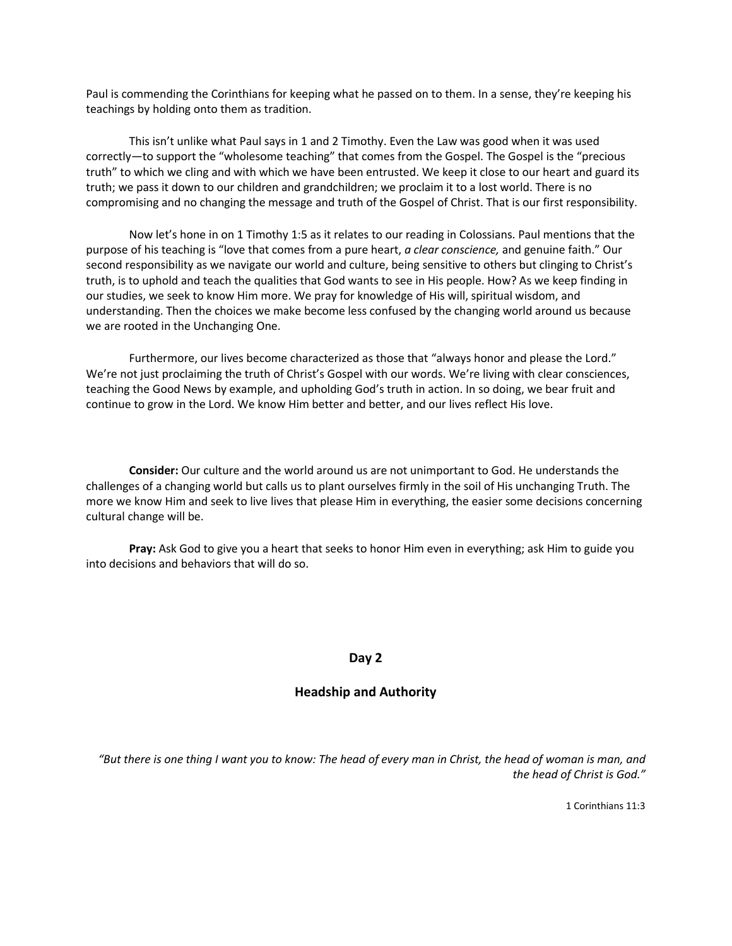Paul is commending the Corinthians for keeping what he passed on to them. In a sense, they're keeping his teachings by holding onto them as tradition.

This isn't unlike what Paul says in 1 and 2 Timothy. Even the Law was good when it was used correctly—to support the "wholesome teaching" that comes from the Gospel. The Gospel is the "precious truth" to which we cling and with which we have been entrusted. We keep it close to our heart and guard its truth; we pass it down to our children and grandchildren; we proclaim it to a lost world. There is no compromising and no changing the message and truth of the Gospel of Christ. That is our first responsibility.

Now let's hone in on 1 Timothy 1:5 as it relates to our reading in Colossians. Paul mentions that the purpose of his teaching is "love that comes from a pure heart, *a clear conscience,* and genuine faith." Our second responsibility as we navigate our world and culture, being sensitive to others but clinging to Christ's truth, is to uphold and teach the qualities that God wants to see in His people. How? As we keep finding in our studies, we seek to know Him more. We pray for knowledge of His will, spiritual wisdom, and understanding. Then the choices we make become less confused by the changing world around us because we are rooted in the Unchanging One.

Furthermore, our lives become characterized as those that "always honor and please the Lord." We're not just proclaiming the truth of Christ's Gospel with our words. We're living with clear consciences, teaching the Good News by example, and upholding God's truth in action. In so doing, we bear fruit and continue to grow in the Lord. We know Him better and better, and our lives reflect His love.

**Consider:** Our culture and the world around us are not unimportant to God. He understands the challenges of a changing world but calls us to plant ourselves firmly in the soil of His unchanging Truth. The more we know Him and seek to live lives that please Him in everything, the easier some decisions concerning cultural change will be.

**Pray:** Ask God to give you a heart that seeks to honor Him even in everything; ask Him to guide you into decisions and behaviors that will do so.

#### **Day 2**

# **Headship and Authority**

*"But there is one thing I want you to know: The head of every man in Christ, the head of woman is man, and the head of Christ is God."*

1 Corinthians 11:3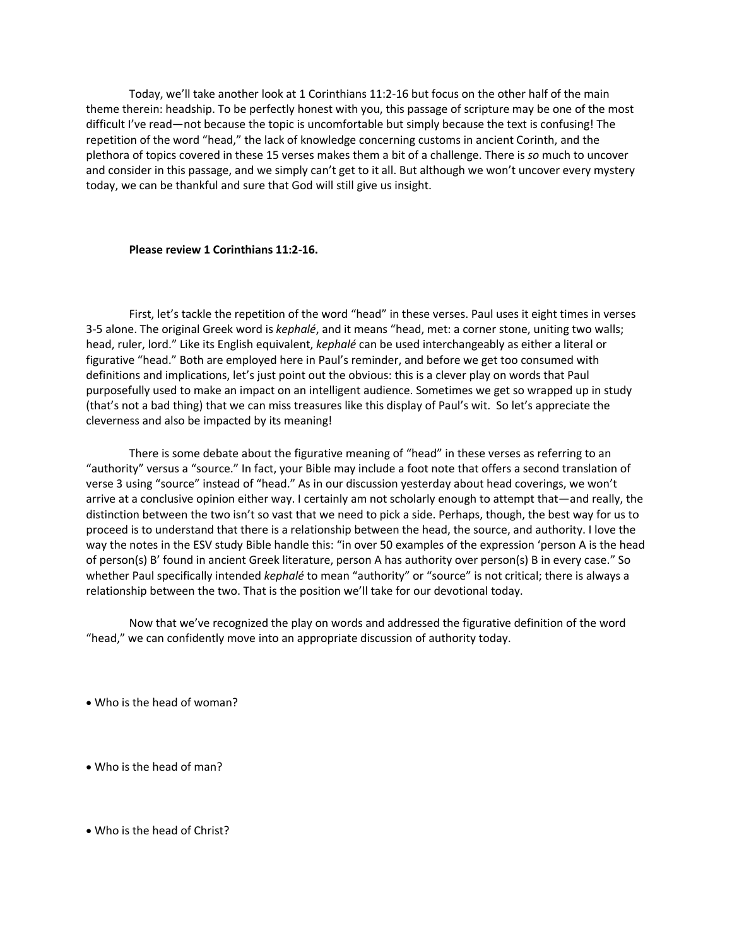Today, we'll take another look at 1 Corinthians 11:2-16 but focus on the other half of the main theme therein: headship. To be perfectly honest with you, this passage of scripture may be one of the most difficult I've read—not because the topic is uncomfortable but simply because the text is confusing! The repetition of the word "head," the lack of knowledge concerning customs in ancient Corinth, and the plethora of topics covered in these 15 verses makes them a bit of a challenge. There is *so* much to uncover and consider in this passage, and we simply can't get to it all. But although we won't uncover every mystery today, we can be thankful and sure that God will still give us insight.

#### **Please review 1 Corinthians 11:2-16.**

First, let's tackle the repetition of the word "head" in these verses. Paul uses it eight times in verses 3-5 alone. The original Greek word is *kephalé*, and it means "head, met: a corner stone, uniting two walls; head, ruler, lord." Like its English equivalent, *kephalé* can be used interchangeably as either a literal or figurative "head." Both are employed here in Paul's reminder, and before we get too consumed with definitions and implications, let's just point out the obvious: this is a clever play on words that Paul purposefully used to make an impact on an intelligent audience. Sometimes we get so wrapped up in study (that's not a bad thing) that we can miss treasures like this display of Paul's wit. So let's appreciate the cleverness and also be impacted by its meaning!

There is some debate about the figurative meaning of "head" in these verses as referring to an "authority" versus a "source." In fact, your Bible may include a foot note that offers a second translation of verse 3 using "source" instead of "head." As in our discussion yesterday about head coverings, we won't arrive at a conclusive opinion either way. I certainly am not scholarly enough to attempt that—and really, the distinction between the two isn't so vast that we need to pick a side. Perhaps, though, the best way for us to proceed is to understand that there is a relationship between the head, the source, and authority. I love the way the notes in the ESV study Bible handle this: "in over 50 examples of the expression 'person A is the head of person(s) B' found in ancient Greek literature, person A has authority over person(s) B in every case." So whether Paul specifically intended *kephalé* to mean "authority" or "source" is not critical; there is always a relationship between the two. That is the position we'll take for our devotional today.

Now that we've recognized the play on words and addressed the figurative definition of the word "head," we can confidently move into an appropriate discussion of authority today.

• Who is the head of woman?

• Who is the head of man?

• Who is the head of Christ?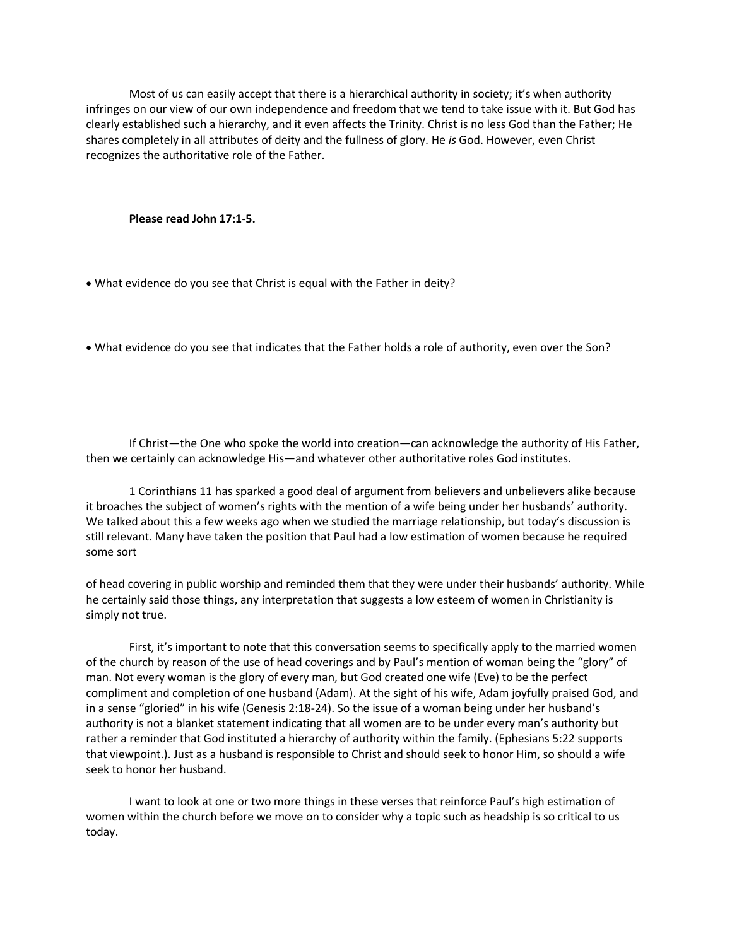Most of us can easily accept that there is a hierarchical authority in society; it's when authority infringes on our view of our own independence and freedom that we tend to take issue with it. But God has clearly established such a hierarchy, and it even affects the Trinity. Christ is no less God than the Father; He shares completely in all attributes of deity and the fullness of glory. He *is* God. However, even Christ recognizes the authoritative role of the Father.

**Please read John 17:1-5.**

• What evidence do you see that Christ is equal with the Father in deity?

• What evidence do you see that indicates that the Father holds a role of authority, even over the Son?

If Christ—the One who spoke the world into creation—can acknowledge the authority of His Father, then we certainly can acknowledge His—and whatever other authoritative roles God institutes.

1 Corinthians 11 has sparked a good deal of argument from believers and unbelievers alike because it broaches the subject of women's rights with the mention of a wife being under her husbands' authority. We talked about this a few weeks ago when we studied the marriage relationship, but today's discussion is still relevant. Many have taken the position that Paul had a low estimation of women because he required some sort

of head covering in public worship and reminded them that they were under their husbands' authority. While he certainly said those things, any interpretation that suggests a low esteem of women in Christianity is simply not true.

First, it's important to note that this conversation seems to specifically apply to the married women of the church by reason of the use of head coverings and by Paul's mention of woman being the "glory" of man. Not every woman is the glory of every man, but God created one wife (Eve) to be the perfect compliment and completion of one husband (Adam). At the sight of his wife, Adam joyfully praised God, and in a sense "gloried" in his wife (Genesis 2:18-24). So the issue of a woman being under her husband's authority is not a blanket statement indicating that all women are to be under every man's authority but rather a reminder that God instituted a hierarchy of authority within the family. (Ephesians 5:22 supports that viewpoint.). Just as a husband is responsible to Christ and should seek to honor Him, so should a wife seek to honor her husband.

I want to look at one or two more things in these verses that reinforce Paul's high estimation of women within the church before we move on to consider why a topic such as headship is so critical to us today.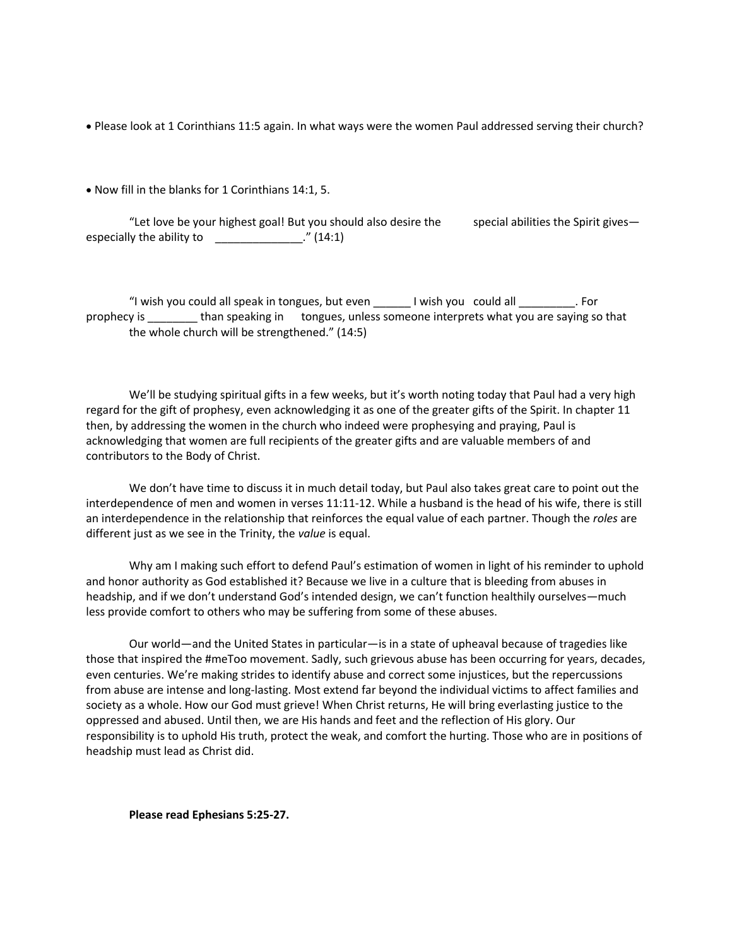• Please look at 1 Corinthians 11:5 again. In what ways were the women Paul addressed serving their church?

• Now fill in the blanks for 1 Corinthians 14:1, 5.

"Let love be your highest goal! But you should also desire the special abilities the Spirit gives $$ especially the ability to  $\Box$  [14:1]

"I wish you could all speak in tongues, but even \_\_\_\_\_\_ I wish you could all \_\_\_\_\_\_\_\_\_. For prophecy is \_\_\_\_\_\_\_\_ than speaking in tongues, unless someone interprets what you are saying so that the whole church will be strengthened." (14:5)

We'll be studying spiritual gifts in a few weeks, but it's worth noting today that Paul had a very high regard for the gift of prophesy, even acknowledging it as one of the greater gifts of the Spirit. In chapter 11 then, by addressing the women in the church who indeed were prophesying and praying, Paul is acknowledging that women are full recipients of the greater gifts and are valuable members of and contributors to the Body of Christ.

We don't have time to discuss it in much detail today, but Paul also takes great care to point out the interdependence of men and women in verses 11:11-12. While a husband is the head of his wife, there is still an interdependence in the relationship that reinforces the equal value of each partner. Though the *roles* are different just as we see in the Trinity, the *value* is equal.

Why am I making such effort to defend Paul's estimation of women in light of his reminder to uphold and honor authority as God established it? Because we live in a culture that is bleeding from abuses in headship, and if we don't understand God's intended design, we can't function healthily ourselves—much less provide comfort to others who may be suffering from some of these abuses.

Our world—and the United States in particular—is in a state of upheaval because of tragedies like those that inspired the #meToo movement. Sadly, such grievous abuse has been occurring for years, decades, even centuries. We're making strides to identify abuse and correct some injustices, but the repercussions from abuse are intense and long-lasting. Most extend far beyond the individual victims to affect families and society as a whole. How our God must grieve! When Christ returns, He will bring everlasting justice to the oppressed and abused. Until then, we are His hands and feet and the reflection of His glory. Our responsibility is to uphold His truth, protect the weak, and comfort the hurting. Those who are in positions of headship must lead as Christ did.

**Please read Ephesians 5:25-27.**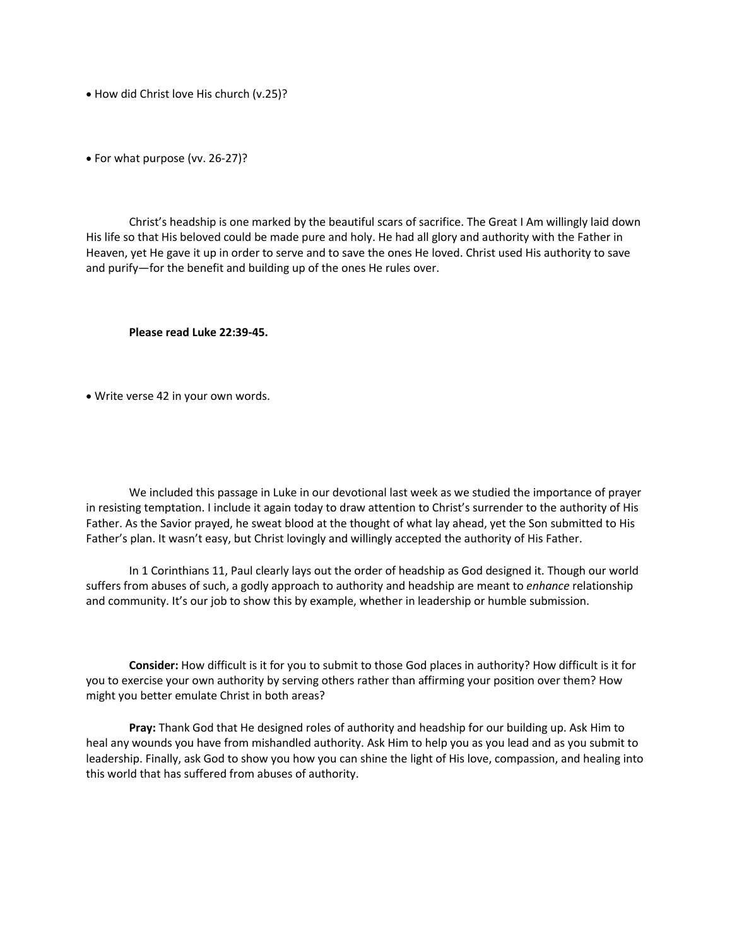• How did Christ love His church (v.25)?

• For what purpose (vv. 26-27)?

Christ's headship is one marked by the beautiful scars of sacrifice. The Great I Am willingly laid down His life so that His beloved could be made pure and holy. He had all glory and authority with the Father in Heaven, yet He gave it up in order to serve and to save the ones He loved. Christ used His authority to save and purify—for the benefit and building up of the ones He rules over.

**Please read Luke 22:39-45.**

• Write verse 42 in your own words.

We included this passage in Luke in our devotional last week as we studied the importance of prayer in resisting temptation. I include it again today to draw attention to Christ's surrender to the authority of His Father. As the Savior prayed, he sweat blood at the thought of what lay ahead, yet the Son submitted to His Father's plan. It wasn't easy, but Christ lovingly and willingly accepted the authority of His Father.

In 1 Corinthians 11, Paul clearly lays out the order of headship as God designed it. Though our world suffers from abuses of such, a godly approach to authority and headship are meant to *enhance* relationship and community. It's our job to show this by example, whether in leadership or humble submission.

**Consider:** How difficult is it for you to submit to those God places in authority? How difficult is it for you to exercise your own authority by serving others rather than affirming your position over them? How might you better emulate Christ in both areas?

**Pray:** Thank God that He designed roles of authority and headship for our building up. Ask Him to heal any wounds you have from mishandled authority. Ask Him to help you as you lead and as you submit to leadership. Finally, ask God to show you how you can shine the light of His love, compassion, and healing into this world that has suffered from abuses of authority.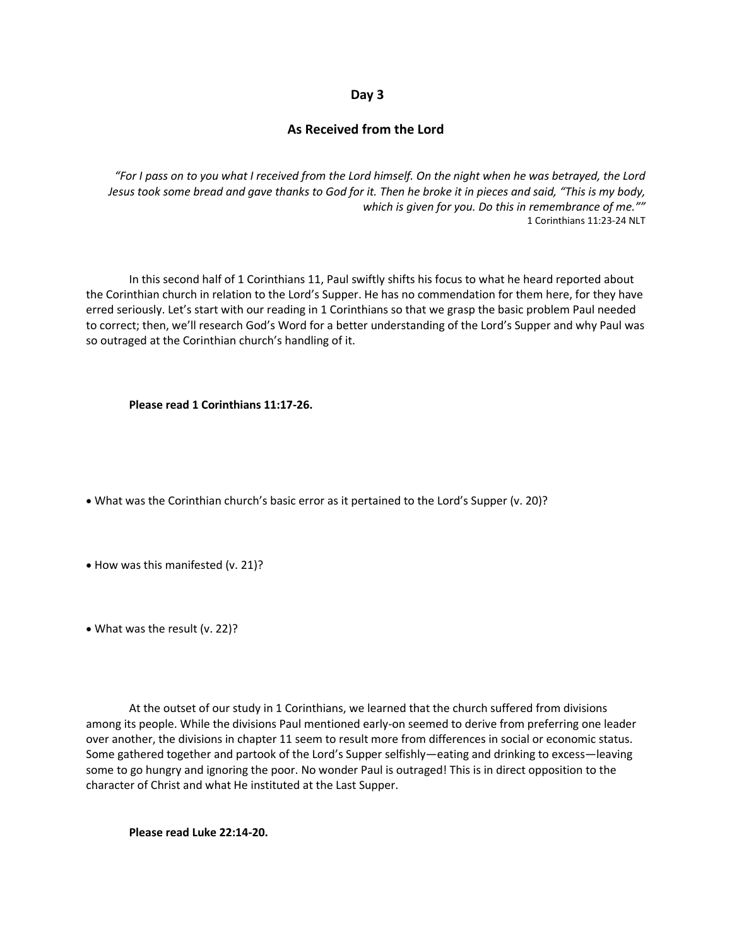#### **Day 3**

### **As Received from the Lord**

*"For I pass on to you what I received from the Lord himself. On the night when he was betrayed, the Lord Jesus took some bread and gave thanks to God for it. Then he broke it in pieces and said, "This is my body, which is given for you. Do this in remembrance of me.""* 1 Corinthians 11:23-24 NLT

 In this second half of 1 Corinthians 11, Paul swiftly shifts his focus to what he heard reported about the Corinthian church in relation to the Lord's Supper. He has no commendation for them here, for they have erred seriously. Let's start with our reading in 1 Corinthians so that we grasp the basic problem Paul needed to correct; then, we'll research God's Word for a better understanding of the Lord's Supper and why Paul was so outraged at the Corinthian church's handling of it.

**Please read 1 Corinthians 11:17-26.**

• What was the Corinthian church's basic error as it pertained to the Lord's Supper (v. 20)?

• How was this manifested (v. 21)?

• What was the result (v. 22)?

 At the outset of our study in 1 Corinthians, we learned that the church suffered from divisions among its people. While the divisions Paul mentioned early-on seemed to derive from preferring one leader over another, the divisions in chapter 11 seem to result more from differences in social or economic status. Some gathered together and partook of the Lord's Supper selfishly—eating and drinking to excess—leaving some to go hungry and ignoring the poor. No wonder Paul is outraged! This is in direct opposition to the character of Christ and what He instituted at the Last Supper.

**Please read Luke 22:14-20.**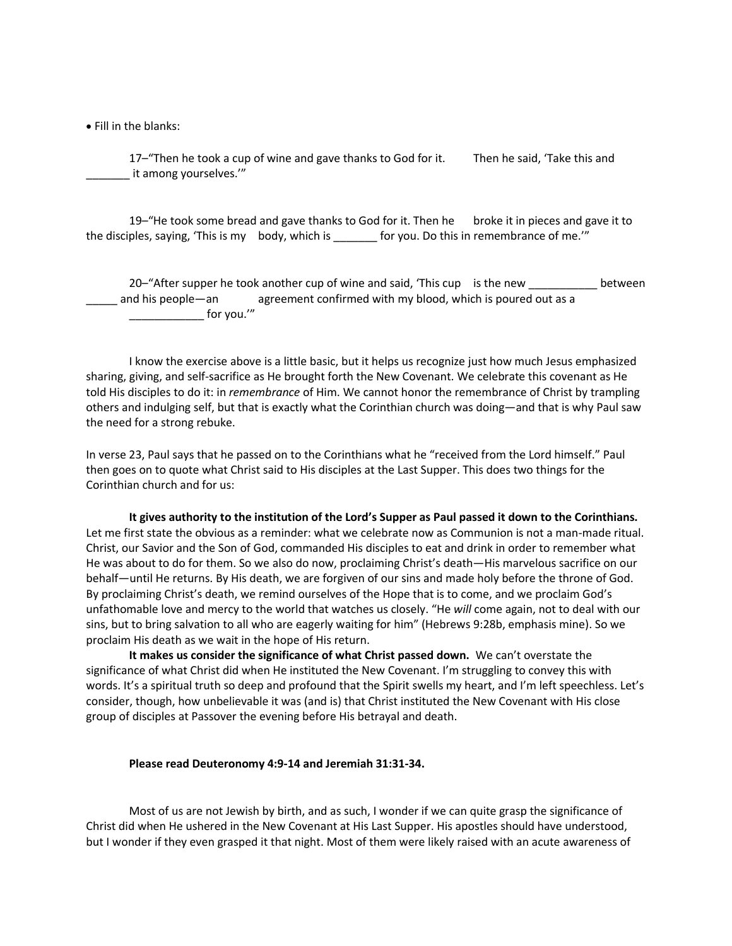• Fill in the blanks:

17–"Then he took a cup of wine and gave thanks to God for it. Then he said, 'Take this and \_\_\_\_\_\_\_ it among yourselves.'"

19–"He took some bread and gave thanks to God for it. Then he broke it in pieces and gave it to the disciples, saying, 'This is my body, which is \_\_\_\_\_\_\_ for you. Do this in remembrance of me.'"

20–"After supper he took another cup of wine and said, 'This cup is the new election between and his people—an agreement confirmed with my blood, which is poured out as a \_\_\_\_\_\_\_\_\_\_\_\_ for you.'"

I know the exercise above is a little basic, but it helps us recognize just how much Jesus emphasized sharing, giving, and self-sacrifice as He brought forth the New Covenant. We celebrate this covenant as He told His disciples to do it: in *remembrance* of Him. We cannot honor the remembrance of Christ by trampling others and indulging self, but that is exactly what the Corinthian church was doing—and that is why Paul saw the need for a strong rebuke.

In verse 23, Paul says that he passed on to the Corinthians what he "received from the Lord himself." Paul then goes on to quote what Christ said to His disciples at the Last Supper. This does two things for the Corinthian church and for us:

**It gives authority to the institution of the Lord's Supper as Paul passed it down to the Corinthians.** Let me first state the obvious as a reminder: what we celebrate now as Communion is not a man-made ritual. Christ, our Savior and the Son of God, commanded His disciples to eat and drink in order to remember what He was about to do for them. So we also do now, proclaiming Christ's death—His marvelous sacrifice on our behalf—until He returns. By His death, we are forgiven of our sins and made holy before the throne of God. By proclaiming Christ's death, we remind ourselves of the Hope that is to come, and we proclaim God's unfathomable love and mercy to the world that watches us closely. "He *will* come again, not to deal with our sins, but to bring salvation to all who are eagerly waiting for him" (Hebrews 9:28b, emphasis mine). So we proclaim His death as we wait in the hope of His return.

**It makes us consider the significance of what Christ passed down.** We can't overstate the significance of what Christ did when He instituted the New Covenant. I'm struggling to convey this with words. It's a spiritual truth so deep and profound that the Spirit swells my heart, and I'm left speechless. Let's consider, though, how unbelievable it was (and is) that Christ instituted the New Covenant with His close group of disciples at Passover the evening before His betrayal and death.

#### **Please read Deuteronomy 4:9-14 and Jeremiah 31:31-34.**

Most of us are not Jewish by birth, and as such, I wonder if we can quite grasp the significance of Christ did when He ushered in the New Covenant at His Last Supper. His apostles should have understood, but I wonder if they even grasped it that night. Most of them were likely raised with an acute awareness of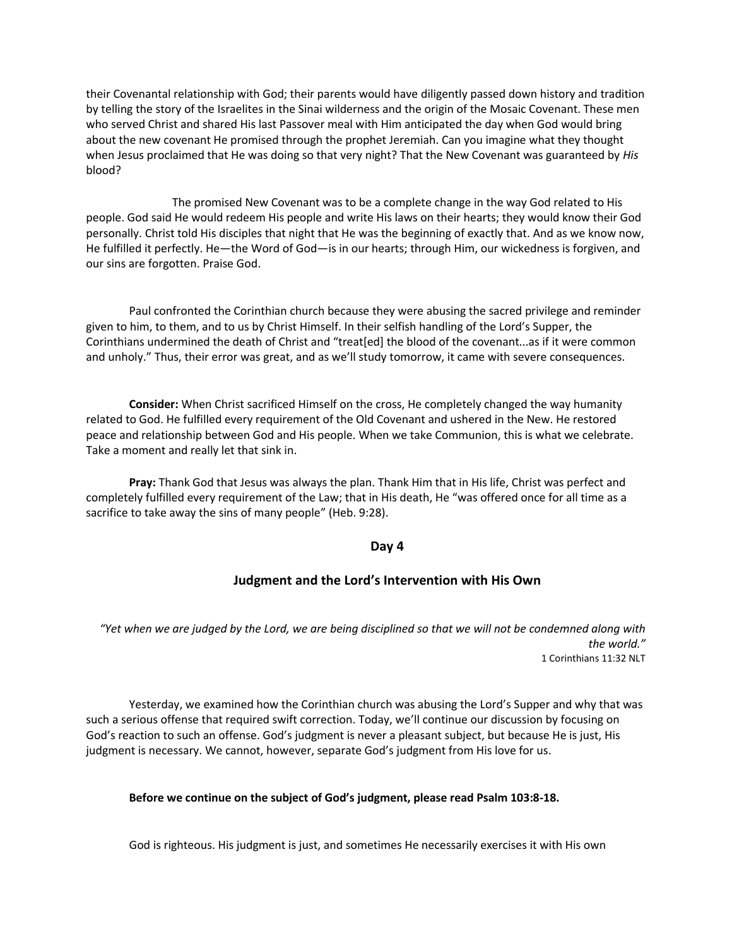their Covenantal relationship with God; their parents would have diligently passed down history and tradition by telling the story of the Israelites in the Sinai wilderness and the origin of the Mosaic Covenant. These men who served Christ and shared His last Passover meal with Him anticipated the day when God would bring about the new covenant He promised through the prophet Jeremiah. Can you imagine what they thought when Jesus proclaimed that He was doing so that very night? That the New Covenant was guaranteed by *His* blood?

The promised New Covenant was to be a complete change in the way God related to His people. God said He would redeem His people and write His laws on their hearts; they would know their God personally. Christ told His disciples that night that He was the beginning of exactly that. And as we know now, He fulfilled it perfectly. He—the Word of God—is in our hearts; through Him, our wickedness is forgiven, and our sins are forgotten. Praise God.

Paul confronted the Corinthian church because they were abusing the sacred privilege and reminder given to him, to them, and to us by Christ Himself. In their selfish handling of the Lord's Supper, the Corinthians undermined the death of Christ and "treat[ed] the blood of the covenant...as if it were common and unholy." Thus, their error was great, and as we'll study tomorrow, it came with severe consequences.

**Consider:** When Christ sacrificed Himself on the cross, He completely changed the way humanity related to God. He fulfilled every requirement of the Old Covenant and ushered in the New. He restored peace and relationship between God and His people. When we take Communion, this is what we celebrate. Take a moment and really let that sink in.

**Pray:** Thank God that Jesus was always the plan. Thank Him that in His life, Christ was perfect and completely fulfilled every requirement of the Law; that in His death, He "was offered once for all time as a sacrifice to take away the sins of many people" (Heb. 9:28).

#### **Day 4**

#### **Judgment and the Lord's Intervention with His Own**

*"Yet when we are judged by the Lord, we are being disciplined so that we will not be condemned along with the world."* 1 Corinthians 11:32 NLT

Yesterday, we examined how the Corinthian church was abusing the Lord's Supper and why that was such a serious offense that required swift correction. Today, we'll continue our discussion by focusing on God's reaction to such an offense. God's judgment is never a pleasant subject, but because He is just, His judgment is necessary. We cannot, however, separate God's judgment from His love for us.

#### **Before we continue on the subject of God's judgment, please read Psalm 103:8-18.**

God is righteous. His judgment is just, and sometimes He necessarily exercises it with His own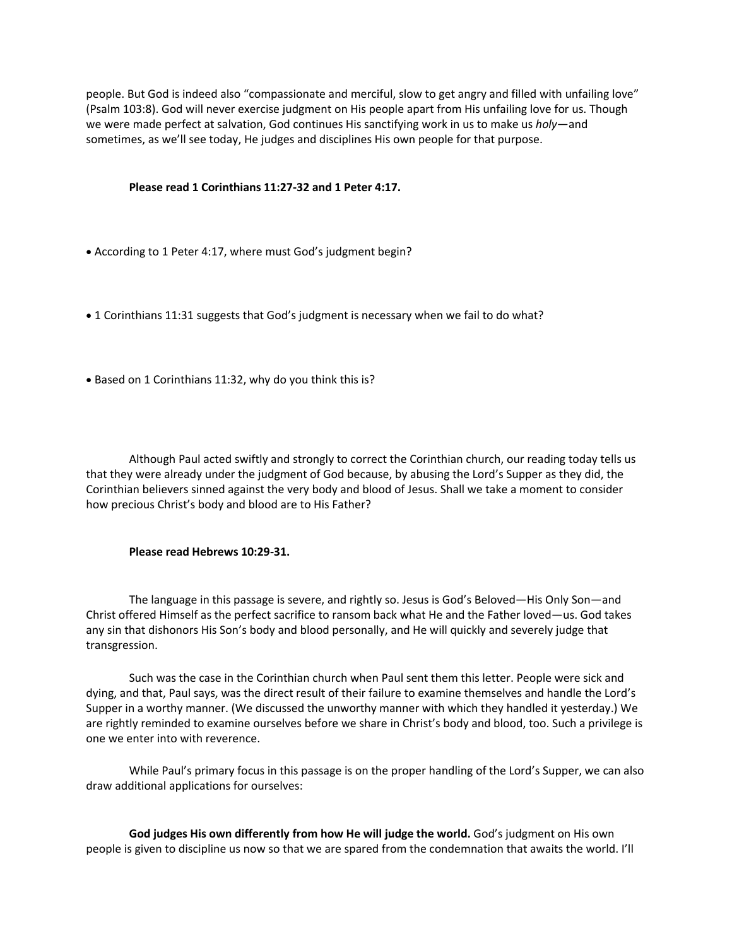people. But God is indeed also "compassionate and merciful, slow to get angry and filled with unfailing love" (Psalm 103:8). God will never exercise judgment on His people apart from His unfailing love for us. Though we were made perfect at salvation, God continues His sanctifying work in us to make us *holy*—and sometimes, as we'll see today, He judges and disciplines His own people for that purpose.

#### **Please read 1 Corinthians 11:27-32 and 1 Peter 4:17.**

- According to 1 Peter 4:17, where must God's judgment begin?
- 1 Corinthians 11:31 suggests that God's judgment is necessary when we fail to do what?
- Based on 1 Corinthians 11:32, why do you think this is?

Although Paul acted swiftly and strongly to correct the Corinthian church, our reading today tells us that they were already under the judgment of God because, by abusing the Lord's Supper as they did, the Corinthian believers sinned against the very body and blood of Jesus. Shall we take a moment to consider how precious Christ's body and blood are to His Father?

#### **Please read Hebrews 10:29-31.**

The language in this passage is severe, and rightly so. Jesus is God's Beloved—His Only Son—and Christ offered Himself as the perfect sacrifice to ransom back what He and the Father loved—us. God takes any sin that dishonors His Son's body and blood personally, and He will quickly and severely judge that transgression.

Such was the case in the Corinthian church when Paul sent them this letter. People were sick and dying, and that, Paul says, was the direct result of their failure to examine themselves and handle the Lord's Supper in a worthy manner. (We discussed the unworthy manner with which they handled it yesterday.) We are rightly reminded to examine ourselves before we share in Christ's body and blood, too. Such a privilege is one we enter into with reverence.

While Paul's primary focus in this passage is on the proper handling of the Lord's Supper, we can also draw additional applications for ourselves:

**God judges His own differently from how He will judge the world.** God's judgment on His own people is given to discipline us now so that we are spared from the condemnation that awaits the world. I'll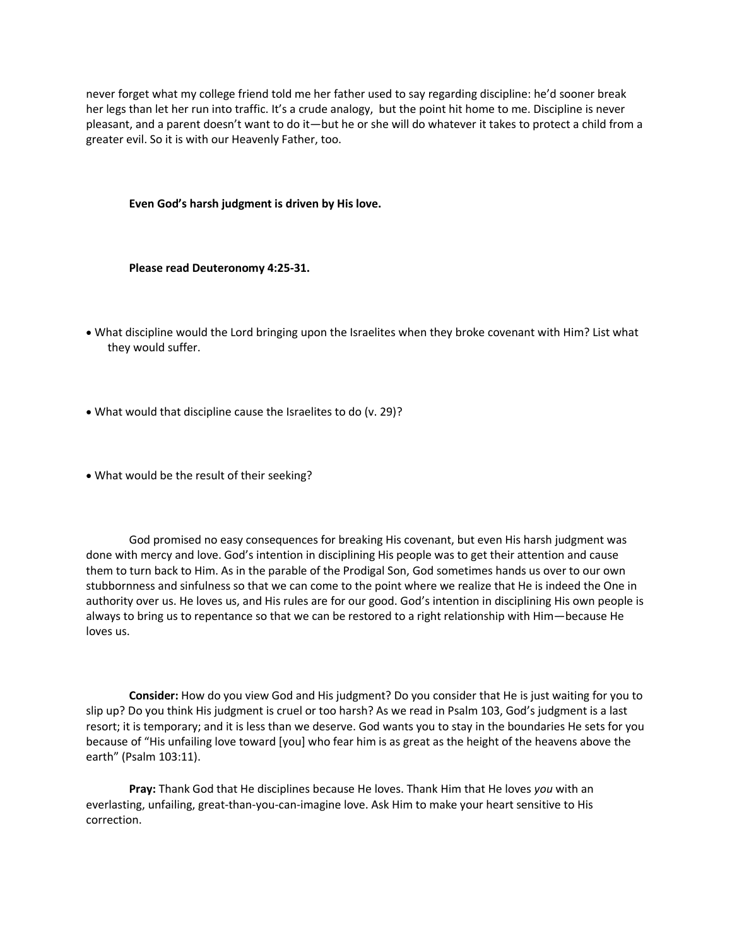never forget what my college friend told me her father used to say regarding discipline: he'd sooner break her legs than let her run into traffic. It's a crude analogy, but the point hit home to me. Discipline is never pleasant, and a parent doesn't want to do it—but he or she will do whatever it takes to protect a child from a greater evil. So it is with our Heavenly Father, too.

**Even God's harsh judgment is driven by His love.** 

**Please read Deuteronomy 4:25-31.**

- What discipline would the Lord bringing upon the Israelites when they broke covenant with Him? List what they would suffer.
- What would that discipline cause the Israelites to do (v. 29)?
- What would be the result of their seeking?

God promised no easy consequences for breaking His covenant, but even His harsh judgment was done with mercy and love. God's intention in disciplining His people was to get their attention and cause them to turn back to Him. As in the parable of the Prodigal Son, God sometimes hands us over to our own stubbornness and sinfulness so that we can come to the point where we realize that He is indeed the One in authority over us. He loves us, and His rules are for our good. God's intention in disciplining His own people is always to bring us to repentance so that we can be restored to a right relationship with Him—because He loves us.

**Consider:** How do you view God and His judgment? Do you consider that He is just waiting for you to slip up? Do you think His judgment is cruel or too harsh? As we read in Psalm 103, God's judgment is a last resort; it is temporary; and it is less than we deserve. God wants you to stay in the boundaries He sets for you because of "His unfailing love toward [you] who fear him is as great as the height of the heavens above the earth" (Psalm 103:11).

**Pray:** Thank God that He disciplines because He loves. Thank Him that He loves *you* with an everlasting, unfailing, great-than-you-can-imagine love. Ask Him to make your heart sensitive to His correction.